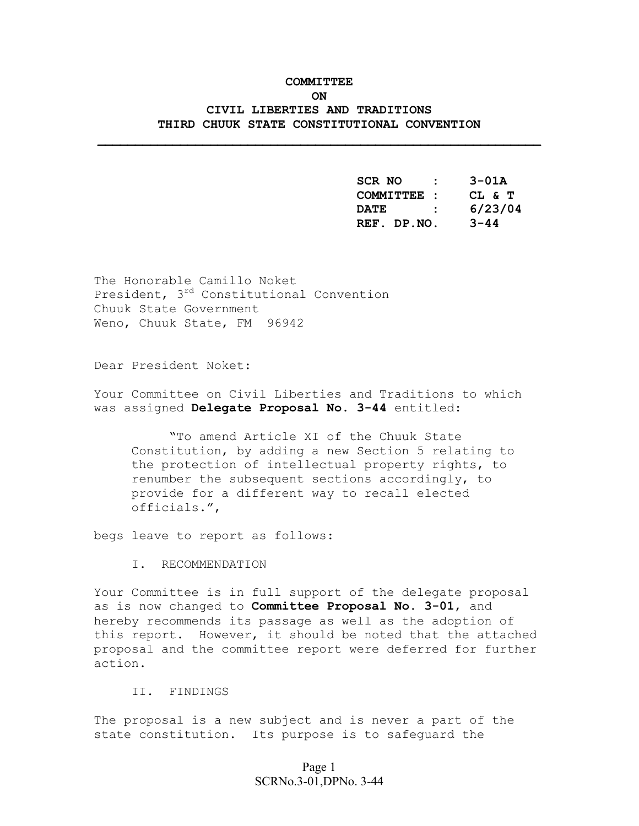## **COMMITTEE ON CIVIL LIBERTIES AND TRADITIONS THIRD CHUUK STATE CONSTITUTIONAL CONVENTION**

**\_\_\_\_\_\_\_\_\_\_\_\_\_\_\_\_\_\_\_\_\_\_\_\_\_\_\_\_\_\_\_\_\_\_\_\_\_\_\_\_\_\_\_\_\_\_\_\_\_\_\_\_\_\_\_\_\_\_\_** 

| $SCR NO$ : $3-01A$ |          |
|--------------------|----------|
| COMMITTEE : CL & T |          |
| DATE : 6/23/04     |          |
| REF. DP.NO.        | $3 - 44$ |

The Honorable Camillo Noket President, 3rd Constitutional Convention Chuuk State Government Weno, Chuuk State, FM 96942

Dear President Noket:

Your Committee on Civil Liberties and Traditions to which was assigned **Delegate Proposal No. 3-44** entitled:

"To amend Article XI of the Chuuk State Constitution, by adding a new Section 5 relating to the protection of intellectual property rights, to renumber the subsequent sections accordingly, to provide for a different way to recall elected officials.",

begs leave to report as follows:

I. RECOMMENDATION

Your Committee is in full support of the delegate proposal as is now changed to **Committee Proposal No. 3-01**, and hereby recommends its passage as well as the adoption of this report. However, it should be noted that the attached proposal and the committee report were deferred for further action.

## II. FINDINGS

The proposal is a new subject and is never a part of the state constitution. Its purpose is to safeguard the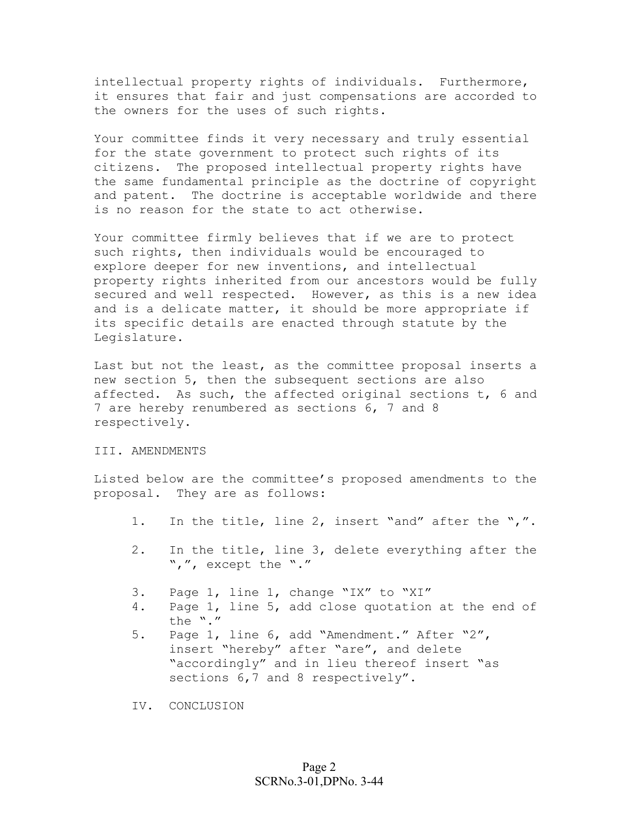intellectual property rights of individuals. Furthermore, it ensures that fair and just compensations are accorded to the owners for the uses of such rights.

Your committee finds it very necessary and truly essential for the state government to protect such rights of its citizens. The proposed intellectual property rights have the same fundamental principle as the doctrine of copyright and patent. The doctrine is acceptable worldwide and there is no reason for the state to act otherwise.

Your committee firmly believes that if we are to protect such rights, then individuals would be encouraged to explore deeper for new inventions, and intellectual property rights inherited from our ancestors would be fully secured and well respected. However, as this is a new idea and is a delicate matter, it should be more appropriate if its specific details are enacted through statute by the Legislature.

Last but not the least, as the committee proposal inserts a new section 5, then the subsequent sections are also affected. As such, the affected original sections t, 6 and 7 are hereby renumbered as sections 6, 7 and 8 respectively.

## III. AMENDMENTS

Listed below are the committee's proposed amendments to the proposal. They are as follows:

- 1. In the title, line 2, insert "and" after the ",".
- 2. In the title, line 3, delete everything after the ",", except the "."
- 3. Page 1, line 1, change "IX" to "XI"
- 4. Page 1, line 5, add close quotation at the end of the "."
- 5. Page 1, line 6, add "Amendment." After "2", insert "hereby" after "are", and delete "accordingly" and in lieu thereof insert "as sections 6,7 and 8 respectively".

IV. CONCLUSION